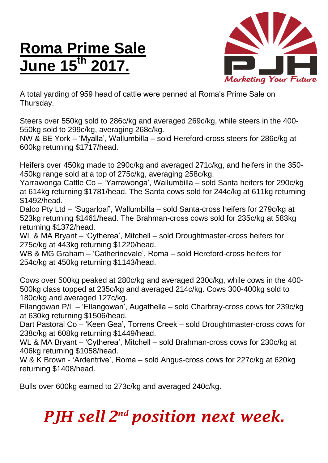## **Roma Prime Sale June 15th 2017.**



A total yarding of 959 head of cattle were penned at Roma's Prime Sale on Thursday.

Steers over 550kg sold to 286c/kg and averaged 269c/kg, while steers in the 400- 550kg sold to 299c/kg, averaging 268c/kg.

NW & BE York – 'Myalla', Wallumbilla – sold Hereford-cross steers for 286c/kg at 600kg returning \$1717/head.

Heifers over 450kg made to 290c/kg and averaged 271c/kg, and heifers in the 350- 450kg range sold at a top of 275c/kg, averaging 258c/kg.

Yarrawonga Cattle Co – 'Yarrawonga', Wallumbilla – sold Santa heifers for 290c/kg at 614kg returning \$1781/head. The Santa cows sold for 244c/kg at 611kg returning \$1492/head.

Dalco Pty Ltd – 'Sugarloaf', Wallumbilla – sold Santa-cross heifers for 279c/kg at 523kg returning \$1461/head. The Brahman-cross cows sold for 235c/kg at 583kg returning \$1372/head.

WL & MA Bryant – 'Cytherea', Mitchell – sold Droughtmaster-cross heifers for 275c/kg at 443kg returning \$1220/head.

WB & MG Graham – 'Catherinevale', Roma – sold Hereford-cross heifers for 254c/kg at 450kg returning \$1143/head.

Cows over 500kg peaked at 280c/kg and averaged 230c/kg, while cows in the 400- 500kg class topped at 235c/kg and averaged 214c/kg. Cows 300-400kg sold to 180c/kg and averaged 127c/kg.

Ellangowan P/L – 'Ellangowan', Augathella – sold Charbray-cross cows for 239c/kg at 630kg returning \$1506/head.

Dart Pastoral Co – 'Keen Gea', Torrens Creek – sold Droughtmaster-cross cows for 238c/kg at 608kg returning \$1449/head.

WL & MA Bryant – 'Cytherea', Mitchell – sold Brahman-cross cows for 230c/kg at 406kg returning \$1058/head.

W & K Brown - 'Ardentrive', Roma – sold Angus-cross cows for 227c/kg at 620kg returning \$1408/head.

Bulls over 600kg earned to 273c/kg and averaged 240c/kg.

## *PJH sell 2 nd position next week.*